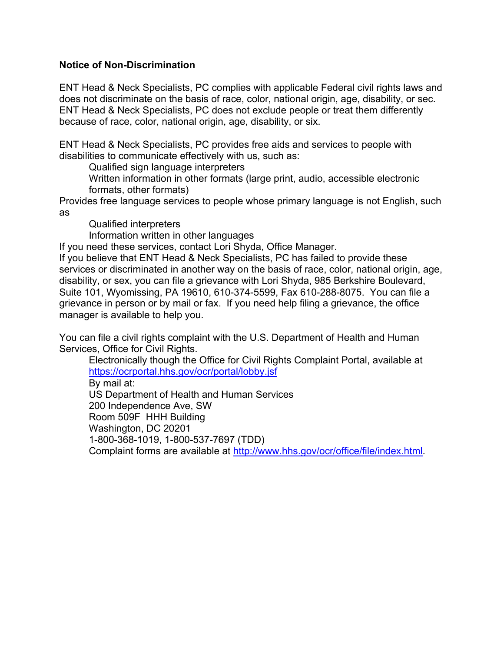# **Notice of Non-Discrimination**

ENT Head & Neck Specialists, PC complies with applicable Federal civil rights laws and does not discriminate on the basis of race, color, national origin, age, disability, or sec. ENT Head & Neck Specialists, PC does not exclude people or treat them differently because of race, color, national origin, age, disability, or six.

ENT Head & Neck Specialists, PC provides free aids and services to people with disabilities to communicate effectively with us, such as:

Qualified sign language interpreters

Written information in other formats (large print, audio, accessible electronic formats, other formats)

Provides free language services to people whose primary language is not English, such as

Qualified interpreters

Information written in other languages

If you need these services, contact Lori Shyda, Office Manager.

If you believe that ENT Head & Neck Specialists, PC has failed to provide these services or discriminated in another way on the basis of race, color, national origin, age, disability, or sex, you can file a grievance with Lori Shyda, 985 Berkshire Boulevard, Suite 101, Wyomissing, PA 19610, 610-374-5599, Fax 610-288-8075. You can file a grievance in person or by mail or fax. If you need help filing a grievance, the office manager is available to help you.

You can file a civil rights complaint with the U.S. Department of Health and Human Services, Office for Civil Rights.

Electronically though the Office for Civil Rights Complaint Portal, available at https://ocrportal.hhs.gov/ocr/portal/lobby.jsf By mail at: US Department of Health and Human Services 200 Independence Ave, SW Room 509F HHH Building Washington, DC 20201 1-800-368-1019, 1-800-537-7697 (TDD) Complaint forms are available at http://www.hhs.gov/ocr/office/file/index.html.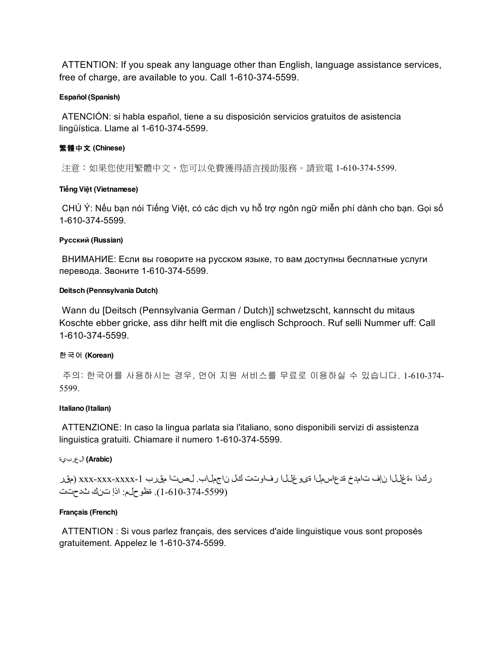ATTENTION: If you speak any language other than English, language assistance services, free of charge, are available to you. Call 1-610-374-5599.

### **Español (Spanish)**

ATENCIÓN: si habla español, tiene a su disposición servicios gratuitos de asistencia lingüística. Llame al 1-610-374-5599.

# 繁體中文 **(Chinese)**

注意:如果您使用繁體中文,您可以免費獲得語言援助服務。請致電 1-610-374-5599.

### **Tiếng Việt (Vietnamese)**

CHÚ Ý: Nếu bạn nói Tiếng Việt, có các dịch vụ hỗ trợ ngôn ngữ miễn phí dành cho bạn. Gọi số 1-610-374-5599.

### **Русский (Russian)**

ВНИМАНИЕ: Если вы говорите на русском языке, то вам доступны бесплатные услуги перевода. Звоните 1-610-374-5599.

### **Deitsch (Pennsylvania Dutch)**

Wann du [Deitsch (Pennsylvania German / Dutch)] schwetzscht, kannscht du mitaus Koschte ebber gricke, ass dihr helft mit die englisch Schprooch. Ruf selli Nummer uff: Call 1-610-374-5599.

# 한국어 **(Korean)**

주의: 한국어를 사용하시는 경우, 언어 지원 서비스를 무료로 이용하실 수 있습니다. 1-610-374- 5599.

### **Italiano (Italian)**

ATTENZIONE: In caso la lingua parlata sia l'italiano, sono disponibili servizi di assistenza linguistica gratuiti. Chiamare il numero 1-610-374-5599.

# **(Arabic (**العربية

ركذا ،ةغللا نإف تامدخ ةدعاسملا ةیوغللا رفاوتت كل ناجملاب. لصتا مقرب -1xxxx-xxx-xxx) مقر (1-610-374-5599). ةظوحلم: اذإ تنك ثدحتت

### **Français (French)**

ATTENTION : Si vous parlez français, des services d'aide linguistique vous sont proposés gratuitement. Appelez le 1-610-374-5599.